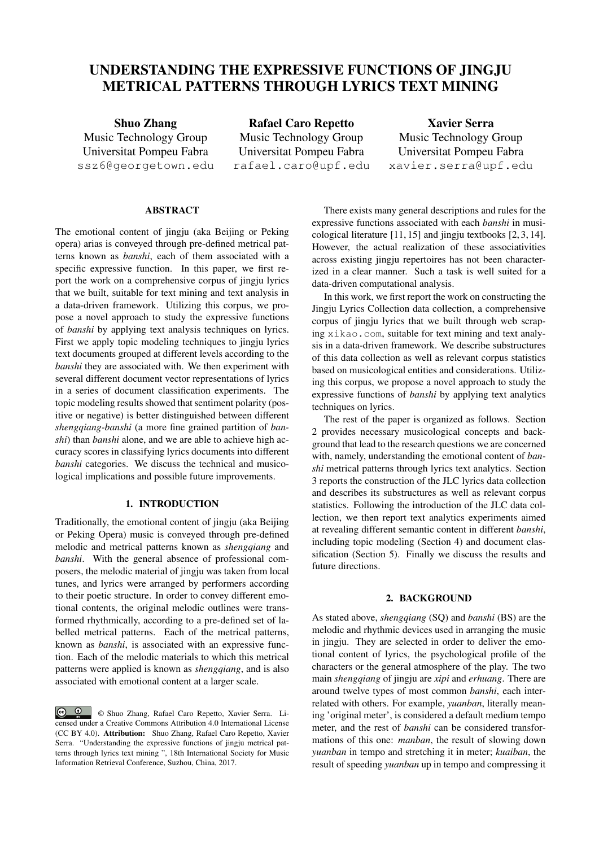# UNDERSTANDING THE EXPRESSIVE FUNCTIONS OF JINGJU METRICAL PATTERNS THROUGH LYRICS TEXT MINING

Shuo Zhang Music Technology Group Universitat Pompeu Fabra ssz6@georgetown.edu

Rafael Caro Repetto Music Technology Group Universitat Pompeu Fabra rafael.caro@upf.edu

Xavier Serra Music Technology Group Universitat Pompeu Fabra xavier.serra@upf.edu

# ABSTRACT

The emotional content of jingju (aka Beijing or Peking opera) arias is conveyed through pre-defined metrical patterns known as *banshi*, each of them associated with a specific expressive function. In this paper, we first report the work on a comprehensive corpus of jingju lyrics that we built, suitable for text mining and text analysis in a data-driven framework. Utilizing this corpus, we propose a novel approach to study the expressive functions of *banshi* by applying text analysis techniques on lyrics. First we apply topic modeling techniques to jingju lyrics text documents grouped at different levels according to the *banshi* they are associated with. We then experiment with several different document vector representations of lyrics in a series of document classification experiments. The topic modeling results showed that sentiment polarity (positive or negative) is better distinguished between different *shengqiang-banshi* (a more fine grained partition of *banshi*) than *banshi* alone, and we are able to achieve high accuracy scores in classifying lyrics documents into different *banshi* categories. We discuss the technical and musicological implications and possible future improvements.

## 1. INTRODUCTION

Traditionally, the emotional content of jingju (aka Beijing or Peking Opera) music is conveyed through pre-defined melodic and metrical patterns known as *shengqiang* and *banshi*. With the general absence of professional composers, the melodic material of jingju was taken from local tunes, and lyrics were arranged by performers according to their poetic structure. In order to convey different emotional contents, the original melodic outlines were transformed rhythmically, according to a pre-defined set of labelled metrical patterns. Each of the metrical patterns, known as *banshi*, is associated with an expressive function. Each of the melodic materials to which this metrical patterns were applied is known as *shengqiang*, and is also associated with emotional content at a larger scale.

© Shuo Zhang, Rafael Caro Repetto, Xavier Serra. Licensed under a Creative Commons Attribution 4.0 International License (CC BY 4.0). Attribution: Shuo Zhang, Rafael Caro Repetto, Xavier Serra. "Understanding the expressive functions of jingju metrical patterns through lyrics text mining ", 18th International Society for Music Information Retrieval Conference, Suzhou, China, 2017.

There exists many general descriptions and rules for the expressive functions associated with each *banshi* in musicological literature [11, 15] and jingju textbooks [2, 3, 14]. However, the actual realization of these associativities across existing jingju repertoires has not been characterized in a clear manner. Such a task is well suited for a data-driven computational analysis.

In this work, we first report the work on constructing the Jingju Lyrics Collection data collection, a comprehensive corpus of jingju lyrics that we built through web scraping xikao.com, suitable for text mining and text analysis in a data-driven framework. We describe substructures of this data collection as well as relevant corpus statistics based on musicological entities and considerations. Utilizing this corpus, we propose a novel approach to study the expressive functions of *banshi* by applying text analytics techniques on lyrics.

The rest of the paper is organized as follows. Section 2 provides necessary musicological concepts and background that lead to the research questions we are concerned with, namely, understanding the emotional content of *banshi* metrical patterns through lyrics text analytics. Section 3 reports the construction of the JLC lyrics data collection and describes its substructures as well as relevant corpus statistics. Following the introduction of the JLC data collection, we then report text analytics experiments aimed at revealing different semantic content in different *banshi*, including topic modeling (Section 4) and document classification (Section 5). Finally we discuss the results and future directions.

#### 2. BACKGROUND

As stated above, *shengqiang* (SQ) and *banshi* (BS) are the melodic and rhythmic devices used in arranging the music in jingju. They are selected in order to deliver the emotional content of lyrics, the psychological profile of the characters or the general atmosphere of the play. The two main *shengqiang* of jingju are *xipi* and *erhuang*. There are around twelve types of most common *banshi*, each interrelated with others. For example, *yuanban*, literally meaning 'original meter', is considered a default medium tempo meter, and the rest of *banshi* can be considered transformations of this one: *manban*, the result of slowing down *yuanban* in tempo and stretching it in meter; *kuaiban*, the result of speeding *yuanban* up in tempo and compressing it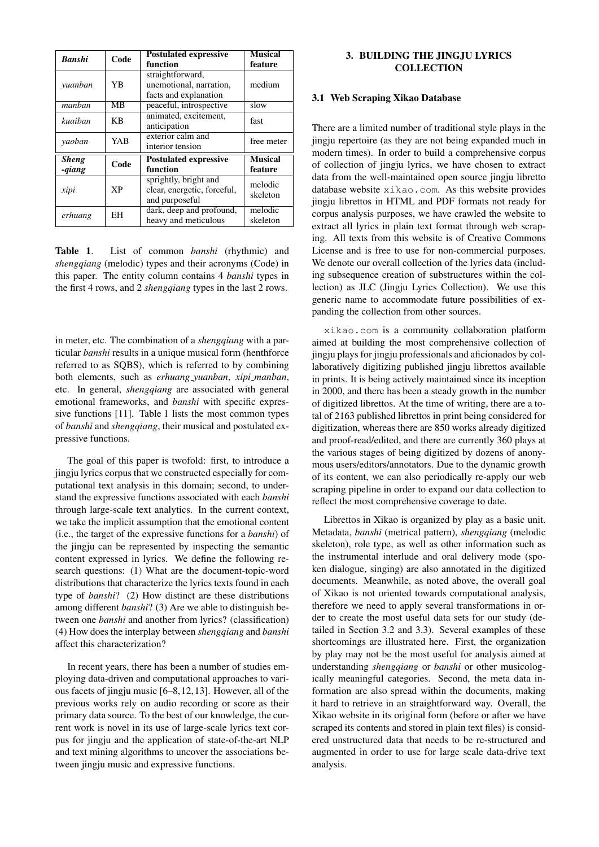| <b>Banshi</b> | Code      | <b>Postulated expressive</b>                                           | <b>Musical</b>      |
|---------------|-----------|------------------------------------------------------------------------|---------------------|
|               |           | function                                                               | feature             |
| yuanban       | YB        | straightforward,<br>unemotional, narration,<br>facts and explanation   | medium              |
| manban        | MB        | peaceful, introspective                                                | slow                |
| kuaiban       | КB        | animated, excitement,<br>anticipation                                  | fast                |
| yaoban        | YAB       | exterior calm and<br>interior tension                                  | free meter          |
| <b>Sheng</b>  | Code      | <b>Postulated expressive</b>                                           | <b>Musical</b>      |
| -qiang        |           | function                                                               | feature             |
| xipi          | <b>XP</b> | sprightly, bright and<br>clear, energetic, forceful,<br>and purposeful | melodic<br>skeleton |
| erhuang       | EН        | dark, deep and profound,<br>heavy and meticulous                       | melodic<br>skeleton |

Table 1. List of common *banshi* (rhythmic) and *shengqiang* (melodic) types and their acronyms (Code) in this paper. The entity column contains 4 *banshi* types in the first 4 rows, and 2 *shengqiang* types in the last 2 rows.

in meter, etc. The combination of a *shengqiang* with a particular *banshi* results in a unique musical form (henthforce referred to as SQBS), which is referred to by combining both elements, such as *erhuang yuanban*, *xipi manban*, etc. In general, *shengqiang* are associated with general emotional frameworks, and *banshi* with specific expressive functions [11]. Table 1 lists the most common types of *banshi* and *shengqiang*, their musical and postulated expressive functions.

The goal of this paper is twofold: first, to introduce a jingju lyrics corpus that we constructed especially for computational text analysis in this domain; second, to understand the expressive functions associated with each *banshi* through large-scale text analytics. In the current context, we take the implicit assumption that the emotional content (i.e., the target of the expressive functions for a *banshi*) of the jingju can be represented by inspecting the semantic content expressed in lyrics. We define the following research questions: (1) What are the document-topic-word distributions that characterize the lyrics texts found in each type of *banshi*? (2) How distinct are these distributions among different *banshi*? (3) Are we able to distinguish between one *banshi* and another from lyrics? (classification) (4) How does the interplay between *shengqiang* and *banshi* affect this characterization?

In recent years, there has been a number of studies employing data-driven and computational approaches to various facets of jingju music [6–8,12,13]. However, all of the previous works rely on audio recording or score as their primary data source. To the best of our knowledge, the current work is novel in its use of large-scale lyrics text corpus for jingju and the application of state-of-the-art NLP and text mining algorithms to uncover the associations between jingju music and expressive functions.

# 3. BUILDING THE JINGJU LYRICS **COLLECTION**

### 3.1 Web Scraping Xikao Database

There are a limited number of traditional style plays in the jingju repertoire (as they are not being expanded much in modern times). In order to build a comprehensive corpus of collection of jingju lyrics, we have chosen to extract data from the well-maintained open source jingju libretto database website xikao.com. As this website provides jingju librettos in HTML and PDF formats not ready for corpus analysis purposes, we have crawled the website to extract all lyrics in plain text format through web scraping. All texts from this website is of Creative Commons License and is free to use for non-commercial purposes. We denote our overall collection of the lyrics data (including subsequence creation of substructures within the collection) as JLC (Jingju Lyrics Collection). We use this generic name to accommodate future possibilities of expanding the collection from other sources.

xikao.com is a community collaboration platform aimed at building the most comprehensive collection of jingju plays for jingju professionals and aficionados by collaboratively digitizing published jingju librettos available in prints. It is being actively maintained since its inception in 2000, and there has been a steady growth in the number of digitized librettos. At the time of writing, there are a total of 2163 published librettos in print being considered for digitization, whereas there are 850 works already digitized and proof-read/edited, and there are currently 360 plays at the various stages of being digitized by dozens of anonymous users/editors/annotators. Due to the dynamic growth of its content, we can also periodically re-apply our web scraping pipeline in order to expand our data collection to reflect the most comprehensive coverage to date.

Librettos in Xikao is organized by play as a basic unit. Metadata, *banshi* (metrical pattern), *shengqiang* (melodic skeleton), role type, as well as other information such as the instrumental interlude and oral delivery mode (spoken dialogue, singing) are also annotated in the digitized documents. Meanwhile, as noted above, the overall goal of Xikao is not oriented towards computational analysis, therefore we need to apply several transformations in order to create the most useful data sets for our study (detailed in Section 3.2 and 3.3). Several examples of these shortcomings are illustrated here. First, the organization by play may not be the most useful for analysis aimed at understanding *shengqiang* or *banshi* or other musicologically meaningful categories. Second, the meta data information are also spread within the documents, making it hard to retrieve in an straightforward way. Overall, the Xikao website in its original form (before or after we have scraped its contents and stored in plain text files) is considered unstructured data that needs to be re-structured and augmented in order to use for large scale data-drive text analysis.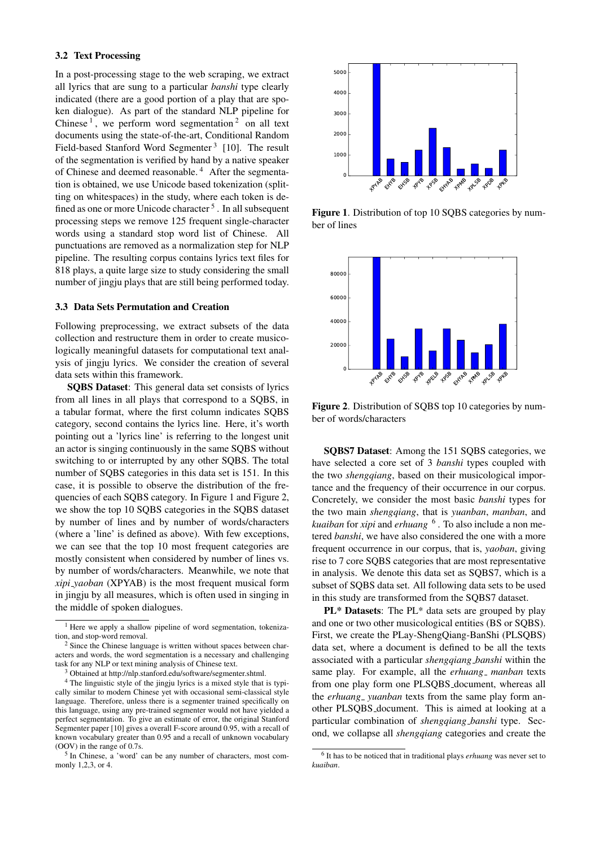#### 3.2 Text Processing

In a post-processing stage to the web scraping, we extract all lyrics that are sung to a particular *banshi* type clearly indicated (there are a good portion of a play that are spoken dialogue). As part of the standard NLP pipeline for Chinese<sup>1</sup>, we perform word segmentation<sup>2</sup> on all text documents using the state-of-the-art, Conditional Random Field-based Stanford Word Segmenter<sup>3</sup> [10]. The result of the segmentation is verified by hand by a native speaker of Chinese and deemed reasonable. <sup>4</sup> After the segmentation is obtained, we use Unicode based tokenization (splitting on whitespaces) in the study, where each token is defined as one or more Unicode character <sup>5</sup>. In all subsequent processing steps we remove 125 frequent single-character words using a standard stop word list of Chinese. All punctuations are removed as a normalization step for NLP pipeline. The resulting corpus contains lyrics text files for 818 plays, a quite large size to study considering the small number of jingju plays that are still being performed today.

#### 3.3 Data Sets Permutation and Creation

Following preprocessing, we extract subsets of the data collection and restructure them in order to create musicologically meaningful datasets for computational text analysis of jingju lyrics. We consider the creation of several data sets within this framework.

SQBS Dataset: This general data set consists of lyrics from all lines in all plays that correspond to a SQBS, in a tabular format, where the first column indicates SQBS category, second contains the lyrics line. Here, it's worth pointing out a 'lyrics line' is referring to the longest unit an actor is singing continuously in the same SQBS without switching to or interrupted by any other SQBS. The total number of SQBS categories in this data set is 151. In this case, it is possible to observe the distribution of the frequencies of each SQBS category. In Figure 1 and Figure 2, we show the top 10 SQBS categories in the SQBS dataset by number of lines and by number of words/characters (where a 'line' is defined as above). With few exceptions, we can see that the top 10 most frequent categories are mostly consistent when considered by number of lines vs. by number of words/characters. Meanwhile, we note that *xipi yaoban* (XPYAB) is the most frequent musical form in jingju by all measures, which is often used in singing in the middle of spoken dialogues.



Figure 1. Distribution of top 10 SQBS categories by number of lines



Figure 2. Distribution of SQBS top 10 categories by number of words/characters

SQBS7 Dataset: Among the 151 SQBS categories, we have selected a core set of 3 *banshi* types coupled with the two *shengqiang*, based on their musicological importance and the frequency of their occurrence in our corpus. Concretely, we consider the most basic *banshi* types for the two main *shengqiang*, that is *yuanban*, *manban*, and *kuaiban* for *xipi* and *erhuang* <sup>6</sup> . To also include a non metered *banshi*, we have also considered the one with a more frequent occurrence in our corpus, that is, *yaoban*, giving rise to 7 core SQBS categories that are most representative in analysis. We denote this data set as SQBS7, which is a subset of SQBS data set. All following data sets to be used in this study are transformed from the SQBS7 dataset.

PL\* Datasets: The PL\* data sets are grouped by play and one or two other musicological entities (BS or SQBS). First, we create the PLay-ShengQiang-BanShi (PLSQBS) data set, where a document is defined to be all the texts associated with a particular *shengqiang banshi* within the same play. For example, all the *erhuang<sub>-</sub> manban* texts from one play form one PLSQBS document, whereas all the *erhuang<sub>-</sub>* yuanban texts from the same play form another PLSQBS document. This is aimed at looking at a particular combination of *shengqiang banshi* type. Second, we collapse all *shengqiang* categories and create the

<sup>&</sup>lt;sup>1</sup> Here we apply a shallow pipeline of word segmentation, tokenization, and stop-word removal.

<sup>&</sup>lt;sup>2</sup> Since the Chinese language is written without spaces between characters and words, the word segmentation is a necessary and challenging task for any NLP or text mining analysis of Chinese text.

<sup>3</sup> Obtained at http://nlp.stanford.edu/software/segmenter.shtml.

<sup>&</sup>lt;sup>4</sup> The linguistic style of the jingju lyrics is a mixed style that is typically similar to modern Chinese yet with occasional semi-classical style language. Therefore, unless there is a segmenter trained specifically on this language, using any pre-trained segmenter would not have yielded a perfect segmentation. To give an estimate of error, the original Stanford Segmenter paper [10] gives a overall F-score around 0.95, with a recall of known vocabulary greater than 0.95 and a recall of unknown vocabulary (OOV) in the range of 0.7s.

<sup>&</sup>lt;sup>5</sup> In Chinese, a 'word' can be any number of characters, most commonly 1,2,3, or 4.

<sup>6</sup> It has to be noticed that in traditional plays *erhuang* was never set to *kuaiban*.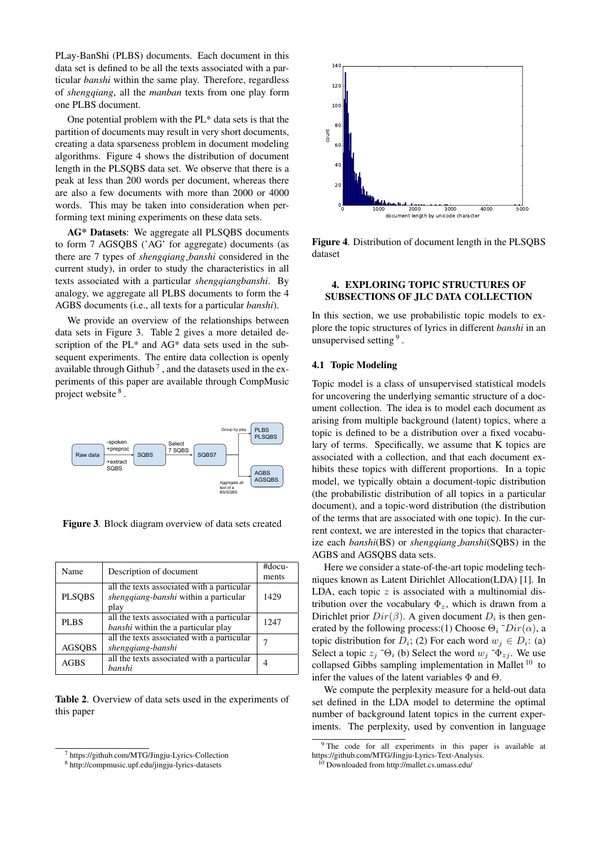PLay-BanShi (PLBS) documents. Each document in this data set is defined to be all the texts associated with a particular *banshi* within the same play. Therefore, regardless of *shengqiang*, all the *manban* texts from one play form one PLBS document.

One potential problem with the PL\* data sets is that the partition of documents may result in very short documents, creating a data sparseness problem in document modeling algorithms. Figure 4 shows the distribution of document length in the PLSQBS data set. We observe that there is a peak at less than 200 words per document, whereas there are also a few documents with more than 2000 or 4000 words. This may be taken into consideration when performing text mining experiments on these data sets.

AG\* Datasets: We aggregate all PLSQBS documents to form 7 AGSQBS ('AG' for aggregate) documents (as there are 7 types of *shengqiang banshi* considered in the current study), in order to study the characteristics in all texts associated with a particular *shengqiangbanshi*. By analogy, we aggregate all PLBS documents to form the 4 AGBS documents (i.e., all texts for a particular *banshi*).

We provide an overview of the relationships between data sets in Figure 3. Table 2 gives a more detailed description of the PL\* and AG\* data sets used in the subsequent experiments. The entire data collection is openly available through Github<sup>7</sup>, and the datasets used in the experiments of this paper are available through CompMusic project website  $8$ .



Figure 3. Block diagram overview of data sets created

| Name          | Description of document                    | #docu- |  |
|---------------|--------------------------------------------|--------|--|
|               |                                            | ments  |  |
|               | all the texts associated with a particular |        |  |
| <b>PLSQBS</b> | shengqiang-banshi within a particular      | 1429   |  |
|               | play                                       |        |  |
| <b>PLBS</b>   | all the texts associated with a particular | 1247   |  |
|               | <i>banshi</i> within the a particular play |        |  |
|               | all the texts associated with a particular |        |  |
| <b>AGSOBS</b> | shenggiang-banshi                          |        |  |
| <b>AGBS</b>   | all the texts associated with a particular |        |  |
|               | banshi                                     |        |  |

Table 2. Overview of data sets used in the experiments of this paper



Figure 4. Distribution of document length in the PLSQBS dataset

## 4. EXPLORING TOPIC STRUCTURES OF SUBSECTIONS OF JLC DATA COLLECTION

In this section, we use probabilistic topic models to explore the topic structures of lyrics in different *banshi* in an unsupervised setting <sup>9</sup>.

## 4.1 Topic Modeling

Topic model is a class of unsupervised statistical models for uncovering the underlying semantic structure of a document collection. The idea is to model each document as arising from multiple background (latent) topics, where a topic is defined to be a distribution over a fixed vocabulary of terms. Specifically, we assume that K topics are associated with a collection, and that each document exhibits these topics with different proportions. In a topic model, we typically obtain a document-topic distribution (the probabilistic distribution of all topics in a particular document), and a topic-word distribution (the distribution of the terms that are associated with one topic). In the current context, we are interested in the topics that characterize each *banshi*(BS) or *shengqiang banshi*(SQBS) in the AGBS and AGSQBS data sets.

Here we consider a state-of-the-art topic modeling techniques known as Latent Dirichlet Allocation(LDA) [1]. In LDA, each topic  $z$  is associated with a multinomial distribution over the vocabulary  $\Phi_z$ , which is drawn from a Dirichlet prior  $Dir(\beta)$ . A given document  $D_i$  is then generated by the following process:(1) Choose  $\Theta_i$ <sup>~</sup> $Dir(\alpha)$ , a topic distribution for  $D_i$ ; (2) For each word  $w_j \in D_i$ : (a) Select a topic  $z_i$  ~ $\Theta_i$  (b) Select the word  $w_i$  ~ $\Phi_{zi}$ . We use collapsed Gibbs sampling implementation in Mallet  $10$  to infer the values of the latent variables  $\Phi$  and  $\Theta$ .

We compute the perplexity measure for a held-out data set defined in the LDA model to determine the optimal number of background latent topics in the current experiments. The perplexity, used by convention in language

<sup>7</sup> https://github.com/MTG/Jingju-Lyrics-Collection

<sup>8</sup> http://compmusic.upf.edu/jingju-lyrics-datasets

<sup>&</sup>lt;sup>9</sup> The code for all experiments in this paper is available at https://github.com/MTG/Jingju-Lyrics-Text-Analysis.

<sup>10</sup> Downloaded from http://mallet.cs.umass.edu/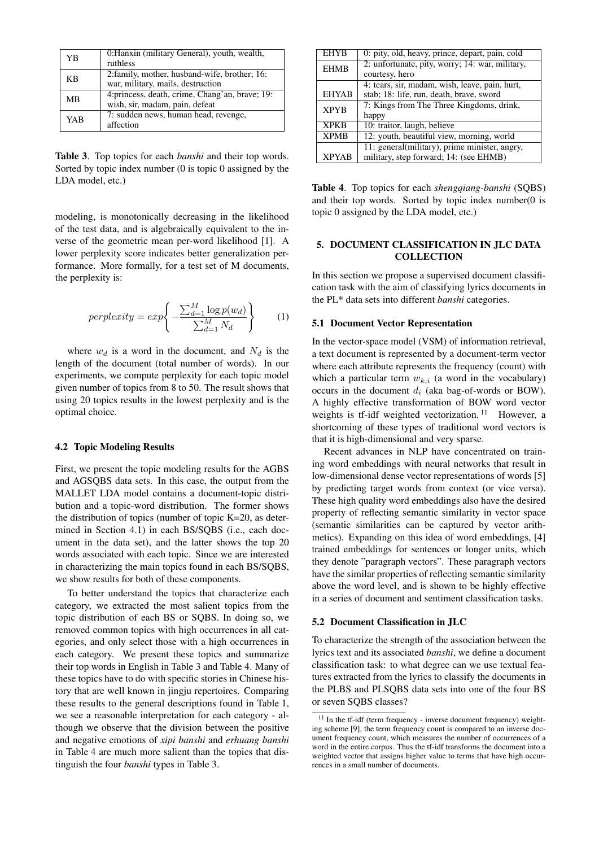| YB         | 0: Hanxin (military General), youth, wealth,<br>ruthless                           |
|------------|------------------------------------------------------------------------------------|
| KB         | 2: family, mother, husband-wife, brother; 16:<br>war, military, mails, destruction |
| <b>MB</b>  | 4: princess, death, crime, Chang'an, brave; 19:<br>wish, sir, madam, pain, defeat  |
| <b>YAB</b> | 7: sudden news, human head, revenge,<br>affection                                  |

Table 3. Top topics for each *banshi* and their top words. Sorted by topic index number (0 is topic 0 assigned by the LDA model, etc.)

modeling, is monotonically decreasing in the likelihood of the test data, and is algebraically equivalent to the inverse of the geometric mean per-word likelihood [1]. A lower perplexity score indicates better generalization performance. More formally, for a test set of M documents, the perplexity is:

$$
perplexity = exp\left\{-\frac{\sum_{d=1}^{M} \log p(w_d)}{\sum_{d=1}^{M} N_d}\right\} \tag{1}
$$

where  $w_d$  is a word in the document, and  $N_d$  is the length of the document (total number of words). In our experiments, we compute perplexity for each topic model given number of topics from 8 to 50. The result shows that using 20 topics results in the lowest perplexity and is the optimal choice.

#### 4.2 Topic Modeling Results

First, we present the topic modeling results for the AGBS and AGSQBS data sets. In this case, the output from the MALLET LDA model contains a document-topic distribution and a topic-word distribution. The former shows the distribution of topics (number of topic K=20, as determined in Section 4.1) in each BS/SQBS (i.e., each document in the data set), and the latter shows the top 20 words associated with each topic. Since we are interested in characterizing the main topics found in each BS/SQBS, we show results for both of these components.

To better understand the topics that characterize each category, we extracted the most salient topics from the topic distribution of each BS or SQBS. In doing so, we removed common topics with high occurrences in all categories, and only select those with a high occurrences in each category. We present these topics and summarize their top words in English in Table 3 and Table 4. Many of these topics have to do with specific stories in Chinese history that are well known in jingju repertoires. Comparing these results to the general descriptions found in Table 1, we see a reasonable interpretation for each category - although we observe that the division between the positive and negative emotions of *xipi banshi* and *erhuang banshi* in Table 4 are much more salient than the topics that distinguish the four *banshi* types in Table 3.

| 0: pity, old, heavy, prince, depart, pain, cold |  |  |
|-------------------------------------------------|--|--|
| 2: unfortunate, pity, worry; 14: war, military, |  |  |
| courtesy, hero                                  |  |  |
| 4: tears, sir, madam, wish, leave, pain, hurt,  |  |  |
| stab; 18: life, run, death, brave, sword        |  |  |
| 7: Kings from The Three Kingdoms, drink,        |  |  |
| happy                                           |  |  |
| 10: traitor, laugh, believe                     |  |  |
| 12: youth, beautiful view, morning, world       |  |  |
| 11: general(military), prime minister, angry,   |  |  |
| military, step forward; 14: (see EHMB)          |  |  |
|                                                 |  |  |

Table 4. Top topics for each *shengqiang-banshi* (SQBS) and their top words. Sorted by topic index number(0 is topic 0 assigned by the LDA model, etc.)

# 5. DOCUMENT CLASSIFICATION IN JLC DATA **COLLECTION**

In this section we propose a supervised document classification task with the aim of classifying lyrics documents in the PL\* data sets into different *banshi* categories.

#### 5.1 Document Vector Representation

In the vector-space model (VSM) of information retrieval, a text document is represented by a document-term vector where each attribute represents the frequency (count) with which a particular term  $w_{k,i}$  (a word in the vocabulary) occurs in the document  $d_i$  (aka bag-of-words or BOW). A highly effective transformation of BOW word vector weights is tf-idf weighted vectorization.<sup>11</sup> However, a shortcoming of these types of traditional word vectors is that it is high-dimensional and very sparse.

Recent advances in NLP have concentrated on training word embeddings with neural networks that result in low-dimensional dense vector representations of words [5] by predicting target words from context (or vice versa). These high quality word embeddings also have the desired property of reflecting semantic similarity in vector space (semantic similarities can be captured by vector arithmetics). Expanding on this idea of word embeddings, [4] trained embeddings for sentences or longer units, which they denote "paragraph vectors". These paragraph vectors have the similar properties of reflecting semantic similarity above the word level, and is shown to be highly effective in a series of document and sentiment classification tasks.

# 5.2 Document Classification in JLC

To characterize the strength of the association between the lyrics text and its associated *banshi*, we define a document classification task: to what degree can we use textual features extracted from the lyrics to classify the documents in the PLBS and PLSQBS data sets into one of the four BS or seven SQBS classes?

<sup>&</sup>lt;sup>11</sup> In the tf-idf (term frequency - inverse document frequency) weighting scheme [9], the term frequency count is compared to an inverse document frequency count, which measures the number of occurrences of a word in the entire corpus. Thus the tf-idf transforms the document into a weighted vector that assigns higher value to terms that have high occurrences in a small number of documents.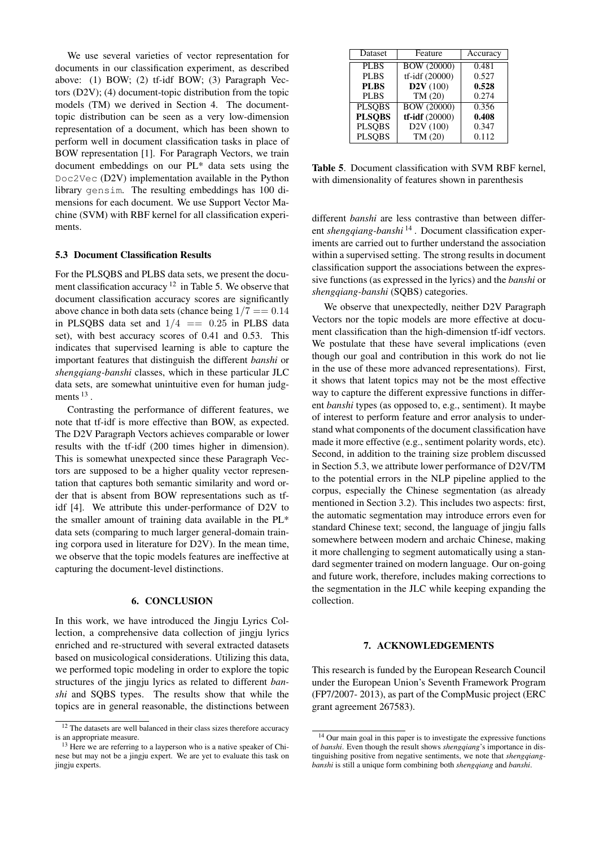We use several varieties of vector representation for documents in our classification experiment, as described above: (1) BOW; (2) tf-idf BOW; (3) Paragraph Vectors (D2V); (4) document-topic distribution from the topic models (TM) we derived in Section 4. The documenttopic distribution can be seen as a very low-dimension representation of a document, which has been shown to perform well in document classification tasks in place of BOW representation [1]. For Paragraph Vectors, we train document embeddings on our PL\* data sets using the Doc2Vec (D2V) implementation available in the Python library gensim. The resulting embeddings has 100 dimensions for each document. We use Support Vector Machine (SVM) with RBF kernel for all classification experiments.

#### 5.3 Document Classification Results

For the PLSQBS and PLBS data sets, we present the document classification accuracy<sup>12</sup> in Table 5. We observe that document classification accuracy scores are significantly above chance in both data sets (chance being  $1/7 == 0.14$ in PLSQBS data set and  $1/4$  = 0.25 in PLBS data set), with best accuracy scores of 0.41 and 0.53. This indicates that supervised learning is able to capture the important features that distinguish the different *banshi* or *shengqiang-banshi* classes, which in these particular JLC data sets, are somewhat unintuitive even for human judgments  $^{13}$ .

Contrasting the performance of different features, we note that tf-idf is more effective than BOW, as expected. The D2V Paragraph Vectors achieves comparable or lower results with the tf-idf (200 times higher in dimension). This is somewhat unexpected since these Paragraph Vectors are supposed to be a higher quality vector representation that captures both semantic similarity and word order that is absent from BOW representations such as tfidf [4]. We attribute this under-performance of D2V to the smaller amount of training data available in the PL\* data sets (comparing to much larger general-domain training corpora used in literature for D2V). In the mean time, we observe that the topic models features are ineffective at capturing the document-level distinctions.

# 6. CONCLUSION

In this work, we have introduced the Jingju Lyrics Collection, a comprehensive data collection of jingju lyrics enriched and re-structured with several extracted datasets based on musicological considerations. Utilizing this data, we performed topic modeling in order to explore the topic structures of the jingju lyrics as related to different *banshi* and SQBS types. The results show that while the topics are in general reasonable, the distinctions between

| Dataset       | Feature                | Accuracy |
|---------------|------------------------|----------|
| <b>PLBS</b>   | <b>BOW (20000)</b>     | 0.481    |
| <b>PLBS</b>   | tf-idf (20000)         | 0.527    |
| <b>PLBS</b>   | D2V(100)               | 0.528    |
| <b>PLBS</b>   | TM(20)                 | 0.274    |
| <b>PLSOBS</b> | <b>BOW</b> (20000)     | 0.356    |
| <b>PLSQBS</b> | $tf-idf(20000)$        | 0.408    |
| <b>PLSQBS</b> | D <sub>2</sub> V (100) | 0.347    |
| <b>PLSOBS</b> | TM(20)                 | 0.112    |
|               |                        |          |

Table 5. Document classification with SVM RBF kernel, with dimensionality of features shown in parenthesis

different *banshi* are less contrastive than between different *shengqiang-banshi* <sup>14</sup> . Document classification experiments are carried out to further understand the association within a supervised setting. The strong results in document classification support the associations between the expressive functions (as expressed in the lyrics) and the *banshi* or *shengqiang-banshi* (SQBS) categories.

We observe that unexpectedly, neither D2V Paragraph Vectors nor the topic models are more effective at document classification than the high-dimension tf-idf vectors. We postulate that these have several implications (even though our goal and contribution in this work do not lie in the use of these more advanced representations). First, it shows that latent topics may not be the most effective way to capture the different expressive functions in different *banshi* types (as opposed to, e.g., sentiment). It maybe of interest to perform feature and error analysis to understand what components of the document classification have made it more effective (e.g., sentiment polarity words, etc). Second, in addition to the training size problem discussed in Section 5.3, we attribute lower performance of D2V/TM to the potential errors in the NLP pipeline applied to the corpus, especially the Chinese segmentation (as already mentioned in Section 3.2). This includes two aspects: first, the automatic segmentation may introduce errors even for standard Chinese text; second, the language of jingju falls somewhere between modern and archaic Chinese, making it more challenging to segment automatically using a standard segmenter trained on modern language. Our on-going and future work, therefore, includes making corrections to the segmentation in the JLC while keeping expanding the collection.

### 7. ACKNOWLEDGEMENTS

This research is funded by the European Research Council under the European Union's Seventh Framework Program (FP7/2007- 2013), as part of the CompMusic project (ERC grant agreement 267583).

<sup>&</sup>lt;sup>12</sup> The datasets are well balanced in their class sizes therefore accuracy is an appropriate measure.

<sup>&</sup>lt;sup>13</sup> Here we are referring to a layperson who is a native speaker of Chinese but may not be a jingju expert. We are yet to evaluate this task on jingju experts.

<sup>14</sup> Our main goal in this paper is to investigate the expressive functions of *banshi*. Even though the result shows *shengqiang*'s importance in distinguishing positive from negative sentiments, we note that *shengqiangbanshi* is still a unique form combining both *shengqiang* and *banshi*.